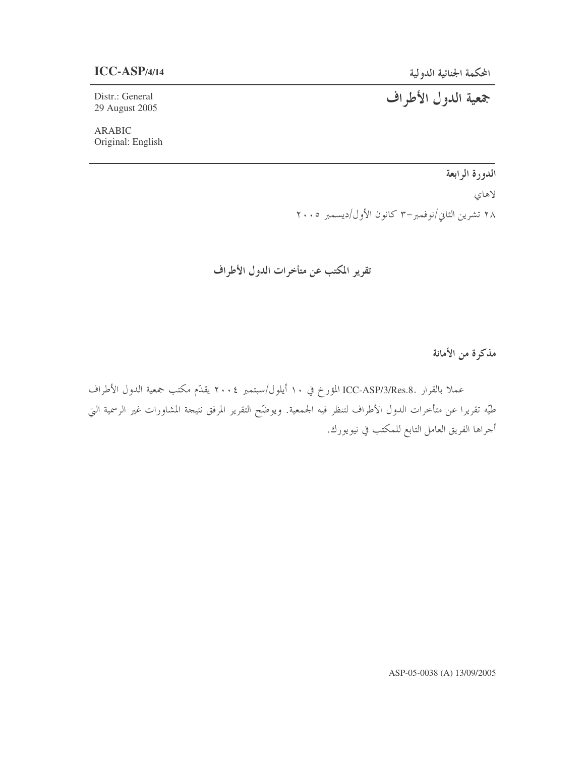المحكمة الجنائية الدول

Distr.: General 29 August 2005

ARABIC Original: English جمعية الدول الأطراف

الدورة الرابعة لاهاي ۲۸ تشرین الثاني/نوفمبر–۳ کانون الأول/دیسمبر ۲۰۰۵

تقرير المكتب عن متأخرات الدول الأطراف

مذكرة من الأمانة

عملا بالقرار .ICC-ASP/3/Res.8 المؤرخ في ١٠ أيلول/سبتمبر ٢٠٠٤ يقدّم مكتب جمعية الدول الأطراف طيّه تقريرا عن متأخرات الدول الأطراف لتنظر فيه الجمعية. ويوضّح التقرير المرفق نتيجة المشاورات غير الرسمية التي أحراها الفريق العامل التابع للمكتب في نيويورك.

ASP-05-0038 (A) 13/09/2005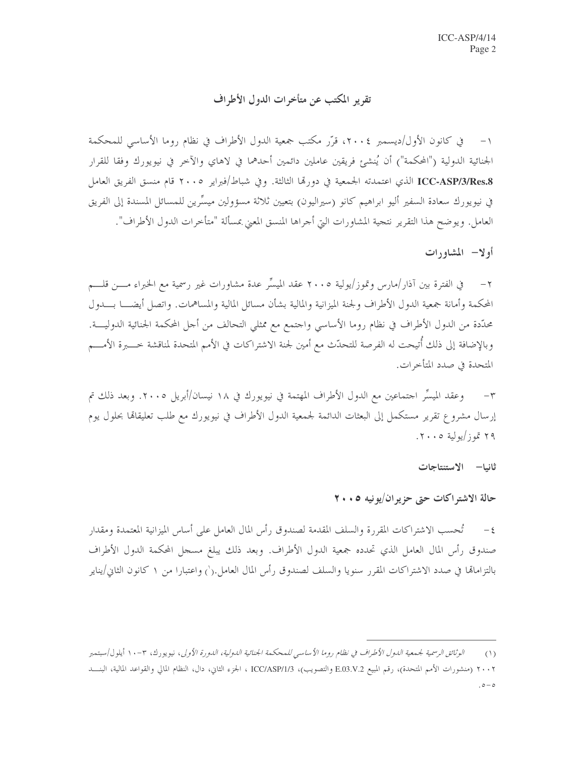تقرير المكتب عن متأخرات الدول الأطراف

١– في كانون الأول/ديسمبر ٢٠٠٤، قرَّر مكتب جمعية الدول الأطراف في نظام روما الأساسي للمحكمة الجنائية الدولية ("المحكمة") أن يُنشئ فريقين عاملين دائمين أحدهما في لاهاي والآخر في نيويورك وفقا للقرار ICC-ASP/3/Res.8 الذي اعتمدته الجمعية في دورها الثالثة. وفي شباط/فبراير ٢٠٠٥ قام منسق الفريق العامل في نيويورك سعادة السفير أليو ابراهيم كانو (سيراليون) بتعيين ثلاثة مسؤولين ميسِّرين للمسائل المسندة إلى الفريق العامل. ويوضح هذا التقرير نتجية المشاورات التي أجراها المنسق المعني بمسألة "متأخرات الدول الأطراف".

أولا— المشاورات

٢– في الفترة بين آذار/مارس وتموز/يولية ٢٠٠٥ عقد الميسِّر عدة مشاورات غير رسمية مع الخبراء مــــن قلــــم المحكمة وأمانة جمعية الدول الأطراف ولجنة الميزانية والمالية بشأن مسائل المالية والمساهمات. واتصل أيضــــا بــــدول محدّدة من الدول الأطراف في نظام روما الأساسي واحتمع مع ممثلي التحالف من أحل المحكمة الجنائية الدوليــــة. وبالإضافة إلى ذلك أتيحت له الفرصة للتحدُّث مع أمين لجنة الاشتراكات في الأمم المتحدة لمناقشة خــــــبرة الأمــــم المتحدة في صدد المتأخرات.

وعقد الميسِّر احتماعين مع الدول الأطراف المهتمة في نيويورك في ١٨ نيسان/أبريل ٢٠٠٥. وبعد ذلك تم  $-\tau$ إرسال مشروع تقرير مستكمل إلى البعثات الدائمة لجمعية الدول الأطراف في نيويورك مع طلب تعليقاها بحلول يوم ۲۹ تموز/يولية ۲۰۰۵.

ثانيا– الاستنتاجات

حالة الاشتر اكات حتى حزير ان/يونيه ٢٠٠٥

٤ – تُحسب الاشتراكات المقررة والسلف المقدمة لصندوق رأس المال العامل على أساس الميزانية المعتمدة ومقدار صندوق رأس المال العامل الذي تحدده جمعية الدول الأطراف. وبعد ذلك يبلغ مسجل المحكمة الدول الأطراف بالتزاماقما في صدد الاشتراكات المقرر سنويا والسلف لصندوق رأس المال العامل.(`) واعتبارا من ١ كانون الثاني/يناير

الوثائق الرسمية لجمعية الدول الأطراف في نظام روما الأساسي للمحكمة الجنائية الدولية، الدورة الأولى، نيويورك، ٣–١٠ أيلول/سبتمبر  $(1)$ ۲۰۰۲ (منشورات الأمم المتحدة)، رقم المبيع E.03.V.2 والتصويب)، ICC/ASP/1/3 الجزء الثاني، دال، النظام المالي والقواعد المالية، البنـــد  $0 - 0$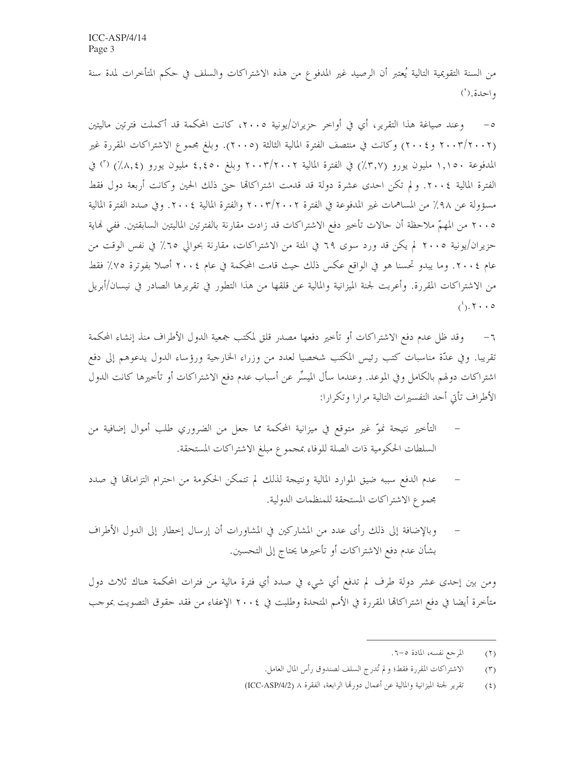من السنة التقويمية التالية يُعتبر أن الرصيد غير المدفوع من هذه الاشتراكات والسلف في حكم المتأخرات لمدة سنة واحدة.(`)

وعند صياغة هذا التقرير، أي في أواخر حزيران/يونية ٢٠٠٥، كانت المحكمة قد أكملت فترتين ماليتين  $-\circ$ (٢٠٠٢/٢٠٠٢ و٢٠٠٤) وكانت في منتصف الفترة المالية الثالثة (٢٠٠٥). وبلغ مجموع الاشتراكات المقررة غير المدفوعة ١,١٥٠ مليون يورو (٣,٧٪) في الفترة المالية ٢٠٠٣/٢٠٠٢ وبلغ ٤,٤٥٠ مليون يورو (٨,٤٪) (٢) في الفترة المالية ٢٠٠٤. ولم تكن احدى عشرة دولة قد قدمت اشتراكاتها حيّ ذلك الحين وكانت أربعة دول فقط مسؤولة عن ٩٨٪ من المساهمات غير المدفوعة في الفترة ٢٠٠٣/٢٠٠٢ والفترة المالية ٢٠٠٤. وفي صدد الفترة المالية ٢٠٠٥ من المهمّ ملاحظة أن حالات تأخير دفع الاشتراكات قد زادت مقارنة بالفترتين الماليتين السابقتين. ففي نماية حزيران/يونية ٢٠٠٥ لم يكن قد ورد سوى ٦٩ في المئة من الاشتراكات، مقارنة بحوالي ٦٥٪ في نفس الوقت من عام ٢٠٠٤. وما يبدو تحسنا هو في الواقع عكس ذلك حيث قامت المحكمة في عام ٢٠٠٤ أصلا بفوترة ٧٥٪ فقط من الاشتراكات المقررة. وأعربت لجنة الميزانية والمالية عن قلقها من هذا التطور في تقريرها الصادر في نيسان/أبريل  $(1)$ .  $\uparrow \cdot \cdot \circ$ 

وقد ظل عدم دفع الاشتراكات أو تأخير دفعها مصدر قلق لمكتب جمعية الدول الأطراف منذ إنشاء المحكمة  $-7$ تقريبًا. وفي عدَّة مناسبات كتب رئيس المكتب شخصيا لعدد من وزراء الخارجية ورؤساء الدول يدعوهم إلى دفع اشتراكات دولهم بالكامل وفي الموعد. وعندما سأل الميسِّر عن أسباب عدم دفع الاشتراكات أو تأخيرها كانت الدول الأطراف تأتى أحد التفسيرات التالية مرارا وتكرارا:

- التأخير نتيجة نموّ غير متوقع في ميزانية المحكمة مما جعل من الضروري طلب أموال إضافية من السلطات الحكومية ذات الصلة للوفاء بمجموع مبلغ الاشتراكات المستحقة.
- عدم الدفع سببه ضيق الموارد المالية ونتيجة لذلك لم تتمكن الحكومة من احترام التزامالها في صدد مجموع الاشتراكات المستحقة للمنظمات الدولية.
- وبالإضافة إلى ذلك رأى عدد من المشاركين في المشاورات أن إرسال إخطار إلى الدول الأطراف بشأن عدم دفع الاشتراكات أو تأخيرها يحتاج إلى التحسين.

ومن بين إحدى عشر دولة طرف لم تدفع أي شيء في صدد أي فترة مالية من فترات المحكمة هناك ثلاث دول متأخرة أيضا في دفع اشتراكاتما المقررة في الأمم المتحدة وطلبت في ٢٠٠٤ الإعفاء من فقد حقوق التصويت بموجب

المرجع نفسه، المادة ٥-٦.  $(1)$ 

الاشتراكات المقررة فقط؛ ولم تُدرج السلف لصندوق رأس المال العامل.  $(\tau)$ 

تقرير لجنة الميزانية والمالية عن أعمال دورها الرابعة، الفقرة ٨ (ICC-ASP/4/2)  $(5)$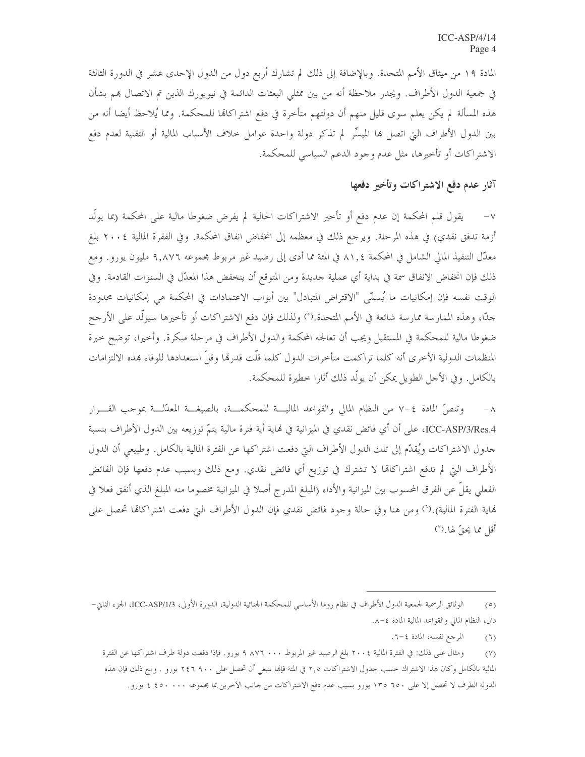المادة ١٩ من ميثاق الأمم المتحدة. وبالإضافة إلى ذلك لم تشارك أربع دول من الدول الإحدى عشر في الدورة الثالثة في جمعية الدول الأطراف. ويجدر ملاحظة أنه من بين ممثلي البعثات الدائمة في نيويورك الذين تم الاتصال بمم بشأن هذه المسألة لم يكن يعلم سوى قليل منهم أن دولتهم متأخرة في دفع اشتراكاتما للمحكمة. ومما يُلاحظ أيضا أنه من بين الدول الأطراف التي اتصل ها الميسِّر لم تذكر دولة واحدة عوامل خلاف الأسباب المالية أو التقنية لعدم دفع الاشتراكات أو تأخيرها، مثل عدم وجود الدعم السياسي للمحكمة.

## آثار عدم دفع الاشتراكات وتأخير دفعها

يقول قلم المحكمة إن عدم دفع أو تأخير الاشتراكات الحالية لم يفرض ضغوطا مالية على المحكمة (بما يولُّد  $-\vee$ أزمة تدفق نقدي) في هذه المرحلة. ويرجع ذلك في معظمه إلى انخفاض انفاق المحكمة. وفي الفقرة المالية ٢٠٠٤ بلغ معدَّل التنفيذ المالي الشامل في المحكمة ٨١,٤ في المئة مما أدى إلى رصيد غير مربوط مجموعه ٩,٨٧٦ مليون يورو . ومع ذلك فإن انخفاض الانفاق سمة في بداية أي عملية حديدة ومن المتوقع أن ينخفض هذا المعدّل في السنوات القادمة. وفي الوقت نفسه فإن إمكانيات ما يُسمّى "الاقتراض المتبادل" بين أبواب الاعتمادات في المحكمة هي إمكانيات محدودة حدًّا، وهذه الممارسة ممارسة شائعة في الأمم المتحدة.(°) ولذلك فإن دفع الاشتراكات أو تأخيرها سيولُّد على الأرجح ضغوطا مالية للمحكمة في المستقبل ويجب أن تعالجه المحكمة والدول الأطراف في مرحلة مبكرة. وأخيرا، توضح خبرة المنظمات الدولية الأخرى أنه كلما تراكمت متأخرات الدول كلما قلَّت قدرها وقلَّ استعدادها للوفاء بمذه الالتزامات بالكامل. وفي الأجل الطويل يمكن أن يولُّد ذلك أثارا خطيرة للمحكمة.

وتنصُّ المادة ٤–٧ من النظام المالي والقواعد المالية للمحكمــة، بالصيغــة المعدّلــة بموجب القـــرار ICC-ASP/3/Res.4، على أن أي فائض نقدي في الميزانية في نماية أية فترة مالية يتمّ توزيعه بين الدول الأطراف بنسبة حدول الاشتراكات ويُقلُّم إلى تلك الدول الأطراف التي دفعت اشتراكها عن الفترة المالية بالكامل. وطبيعي أن الدول الأطراف التي لم تدفع اشتراكاتما لا تشترك في توزيع أي فائض نقدي. ومع ذلك وبسبب عدم دفعها فإن الفائض الفعلي يقلُّ عن الفرق المحسوب بين الميزانية والأداء (المبلغ المدرج أصلا في الميزانية مخصوما منه المبلغ الذي أنفق فعلا في هاية الفترة المالية).(`) ومن هنا وفي حالة وجود فائض نقدي فإن الدول الأطراف التي دفعت اشتراكالها تحصل على أقل مما يحقّ لها.(')

المرجع نفسه، المادة ٤-٦.  $(7)$ 

الوثائق الرسمية لجمعية الدول الأطراف في نظام روما الأساسي للمحكمة الجنائية الدولية، الدورة الأولى، ICC-ASP/1/3، الجزء الثاني–  $(0)$ دال، النظام المالي والقواعد المالية المادة ٤-٨.

ومثال على ذلك: في الفترة المالية ٢٠٠٤ بلغ الرصيد غير المربوط ٨٧٦ ٠٠٠ ٩ يورو. فإذا دفعت دولة طرف اشتراكها عن الفترة  $(Y)$ المالية بالكامل وكان هذا الاشتراك حسب حدول الاشتراكات ٢٫٥ في المئة فإنما ينبغي أن تحصل على ٢٤٦ ٩٠٠ يورو . ومع ذلك فإن هذه الدولة الطرف لا تحصل إلا على ٦٥٠ ١٣٥ يورو بسبب عدم دفع الاشتراكات من حانب الآخرين بما مجموعه ٤٥٠ ٠٠٠ ٤ يورو.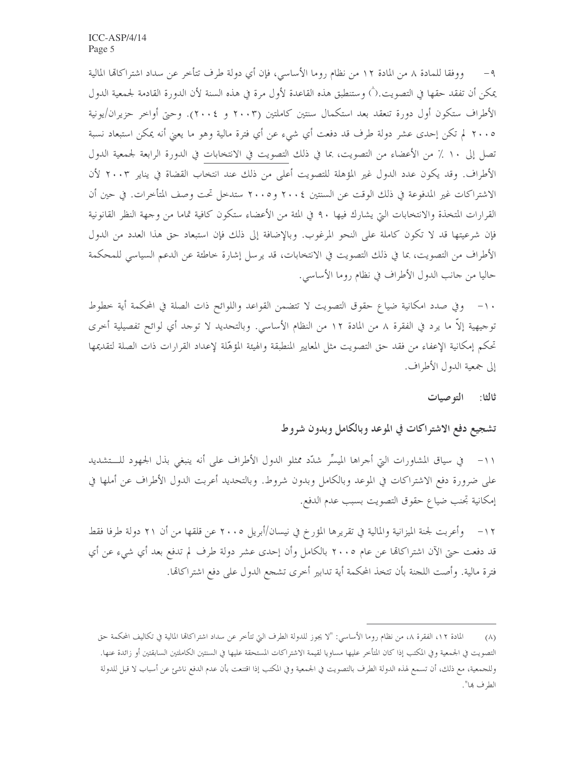ووفقا للمادة ٨ من المادة ١٢ من نظام روما الأساسي، فإن أي دولة طرف تتأخر عن سداد اشتراكاتما المالية  $-9$ يمكن أن تفقد حقها في التصويت.(`) وستنطبق هذه القاعدة لأول مرة في هذه السنة لأن الدورة القادمة لجمعية الدول الأطراف ستكون أول دورة تنعقد بعد استكمال سنتين كاملتين (٢٠٠٣ و ٢٠٠٤). وحتى أواحر حزيران/يونية ٢٠٠٥ لم تكن إحدى عشر دولة طرف قد دفعت أي شيء عن أي فترة مالية وهو ما يعني أنه يمكن استبعاد نسبة تصل إلى ١٠ ٪ من الأعضاء من التصويت، بما في ذلك التصويت في الانتخابات في الدورة الرابعة لجمعية الدول الأطراف. وقد يكون عدد الدول غير المؤهلة للتصويت أعلى من ذلك عند انتخاب القضاة في يناير ٢٠٠٣ لأن الاشتراكات غير المدفوعة في ذلك الوقت عن السنتين ٢٠٠٤ و٢٠٠٥ ستدحل تحت وصف المتأخرات. في حين أن القرارات المتخذة والانتخابات التي يشارك فيها ٩٠ في المئة من الأعضاء ستكون كافية تماما من وجهة النظر القانونية فإن شرعيتها قد لا تكون كاملة على النحو المرغوب. وبالإضافة إلى ذلك فإن استبعاد حق هذا العدد من الدول الأطراف من التصويت، بما في ذلك التصويت في الانتخابات، قد يرسل إشارة خاطئة عن الدعم السياسي للمحكمة حاليا من جانب الدول الأطراف في نظام روما الأساسي.

١٠- وفي صدد امكانية ضياع حقوق التصويت لا تتضمن القواعد واللوائح ذات الصلة في المحكمة أية خطوط توجيهية إلاَّ ما يرد في الفقرة ٨ من المادة ١٢ من النظام الأساسي. وبالتحديد لا توحد أي لوائح تفصيلية أخرى تحكم إمكانية الإعفاء من فقد حق التصويت مثل المعايير المنطبقة والهيئة المؤهّلة لإعداد القرارات ذات الصلة لتقديمها إلى جمعية الدول الأطراف.

ثالثا: التوصيات

تشجيع دفع الاشتراكات في الموعد وبالكامل وبدون شروط

على ضرورة دفع الاشتراكات في الموعد وبالكامل وبدون شروط. وبالتحديد أعربت الدول الأطراف عن أملها في إمكانية تحنب ضياع حقوق التصويت بسبب عدم الدفع.

١٢ – وأعربت لجنة الميزانية والمالية في تقريرها المؤرخ في نيسان/أبريل ٢٠٠٥ عن قلقها من أن ٢١ دولة طرفا فقط قد دفعت حتى الآن اشتراكالها عن عام ٢٠٠٥ بالكامل وأن إحدى عشر دولة طرف لم تدفع بعد أي شيء عن أي فترة مالية. وأصت اللجنة بأن تتخذ المحكمة أية تدابير أخرى تشجع الدول على دفع اشتراكاتما.

المادة ١٢، الفقرة ٨، من نظام روما الأساسي: "لا يجوز للدولة الطرف التي تتأخر عن سداد اشتراكاقما المالية في تكاليف المحكمة حق  $(\wedge)$ التصويت في الجمعية وفي المكتب إذا كان المتأخر عليها مساويا لقيمة الاشتراكات المستحقة عليها في السنتين الكاملتين السابقتين أو زائدة عنها. وللجمعية، مع ذلك، أن تسمع لهذه الدولة الطرف بالتصويت في الجمعية وفي المكتب إذا اقتنعت بأن عدم الدفع ناشئ عن أسباب لا قبل للدولة الطرف بما".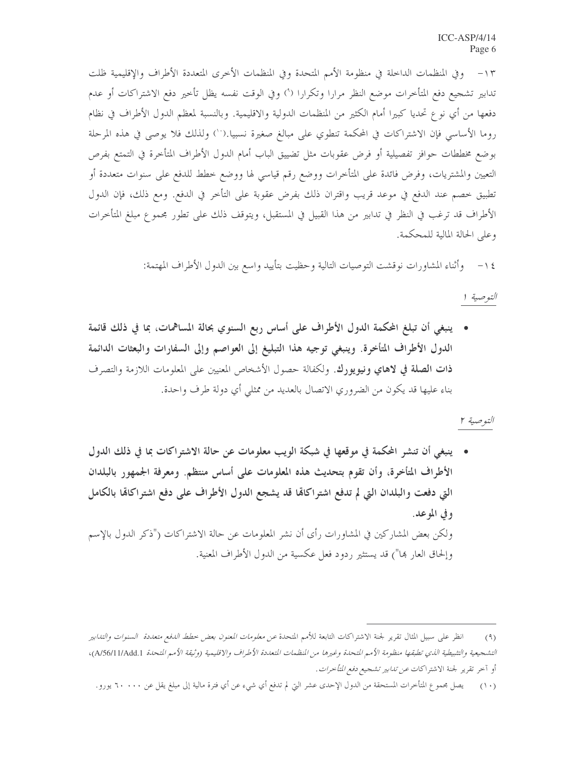وفي المنظمات الداخلة في منظومة الأمم المتحدة وفي المنظمات الأخرى المتعددة الأطراف والإقليمية ظلت  $-\wedge \tau$ تدابير تشجيع دفع المتأخرات موضع النظر مرارا وتكرارا (°) وفي الوقت نفسه يظل تأخير دفع الاشتراكات أو عدم دفعها من أي نوع تحديا كبيرا أمام الكثير من المنظمات الدولية والاقليمية. وبالنسبة لمعظم الدول الأطراف في نظام روما الأساسي فإن الاشتراكات في المحكمة تنطوي على مبالغ صغيرة نسبيا.(``) ولذلك فلا يوصى في هذه المرحلة بوضع مخططات حوافز تفصيلية أو فرض عقوبات مثل تضييق الباب أمام الدول الأطراف المتأخرة في التمتع بفرص التعيين والمشتريات، وفرض فائدة على المتأخرات ووضع رقم قياسي لها ووضع خطط للدفع على سنوات متعددة أو تطبيق خصم عند الدفع في موعد قريب واقتران ذلك بفرض عقوبة على التأخر في الدفع. ومع ذلك، فإن الدول الأطراف قد ترغب في النظر في تدابير من هذا القبيل في المستقبل، ويتوقف ذلك على تطور مجموع مبلغ المتأخرات وعلى الحالة المالية للمحكمة.

١٤ – وأثناء المشاورات نوقشت التوصيات التالية وحظيت بتأييد واسع بين الدول الأطراف المهتمة:

التوصية ا

• ينبغي أن تبلغ المحكمة الدول الأطراف على أساس ربع السنوي بحالة المساهمات، بما في ذلك قائمة الدول الأطراف المتأخرة. وينبغي توجيه هذا التبليغ إلى العواصم وإلى السفارات والبعثات الدائمة ذات الصلة في لاهاي ونيويورك. ولكفالة حصول الأشخاص المعنيين على المعلومات اللازمة والتصرف بناء عليها قد يكون من الضروري الاتصال بالعديد من ممثلي أي دولة طرف واحدة.

التوصية ٢

• ينبغي أن تنشر المحكمة في موقعها في شبكة الويب معلومات عن حالة الاشتراكات بما في ذلك الدول الأطراف المتأخرة، وأن تقوم بتحديث هذه المعلومات على أساس منتظم. ومعرفة الجمهور بالبلدان التي دفعت والبلدان التي لم تدفع اشتراكالها قد يشجع الدول الأطراف على دفع اشتراكالها بالكامل وفي الموعد. ولكن بعض المشاركين في المشاورات رأى أن نشر المعلومات عن حالة الاشتراكات ("ذكر الدول بالإسم وإلحاق العار بما") قد يستثير ردود فعل عكسية من الدول الأطراف المعنية.

انظر على سبيل المثال تقرير لجنة الاشتراكات التابعة للأمم المتحدة *عن معلومات المعنون بعض خطط الدفع متعددة السنوات والتدابير*  $(9)$ التشجيعية والتثبيطية الذي تطبقها منظومة الأمم التحدة وغيرها من النظمات التعددة الأطراف والاقليمية (وثيقة الأمم التحدة A/56/11/Add.1)، أو آخر تقرير لجنة الاشتراكات *عن تدابير تشجيع دفع المتأخرات*.

<sup>(</sup>١٠) يصل بحمو ع المتأخرات المستحقة من الدول الإحدى عشر التي لم تدفع أي شيء عن أي فترة مالية إلى مبلغ يقل عن ٦٠٠٠٠ يورو.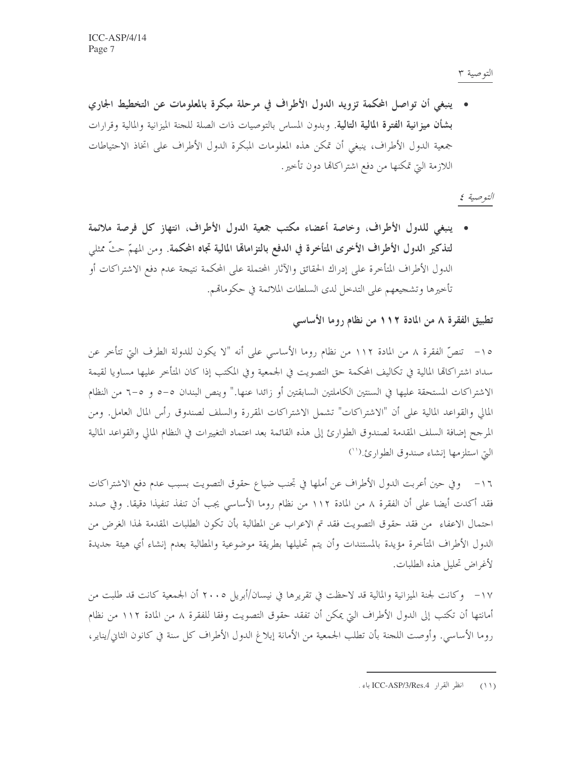التوصية ٣

• ينبغي أن تواصل المحكمة تزويد الدول الأطراف في مرحلة مبكرة بالمعلومات عن التخطيط الجاري بشأن ميزانية الفترة المالية التالية. وبدون المساس بالتوصيات ذات الصلة للجنة الميزانية والمالية وقرارات جمعية الدول الأطراف، ينبغي أن تمكن هذه المعلومات المبكرة الدول الأطراف على اتخاذ الاحتياطات اللازمة التي تمكنها من دفع اشتراكاتما دون تأخير.

التوصية ٤

• ينبغي للدول الأطراف، وخاصة أعضاء مكتب جمعية الدول الأطراف، انتهاز كل فرصة ملائمة لتذكير الدول الأطراف الأخرى المتأخرة في الدفع بالتزامالها المالية تجاه المحكمة. ومن المهمّ حتَّ ممثلي الدول الأطراف المتأخرة على إدراك الحقائق والآثار المحتملة على المحكمة نتيجة عدم دفع الاشتراكات أو تأخيرها وتشجيعهم على التدخل لدى السلطات الملائمة في حكوماتمم.

## تطبيق الفقرة ٨ من المادة ١١٢ من نظام روما الأساسي

١٥– تنصَّ الفقرة ٨ من المادة ١١٢ من نظام روما الأساسي على أنه "لا يكون للدولة الطرف التي تتأخر عن سداد اشتراكاتما المالية في تكاليف المحكمة حق التصويت في الجمعية وفي المكتب إذا كان المتأخر عليها مساويا لقيمة الاشتراكات المستحقة عليها في السنتين الكاملتين السابقتين أو زائدا عنها." وينص البندان ٥–٥ و ٥–٦ من النظام المالي والقواعد المالية على أن "الاشتراكات" تشمل الاشتراكات المقررة والسلف لصندوق رأس المال العامل. ومن المرجح إضافة السلف المقدمة لصندوق الطوارئ إلى هذه القائمة بعد اعتماد التغييرات في النظام المالي والقواعد المالية التي استلزمها إنشاء صندوق الطوارئ.(``)

١٦ – وفي حين أعربت الدول الأطراف عن أملها في تحنب ضياع حقوق التصويت بسبب عدم دفع الاشتراكات فقد أكدت أيضا على أن الفقرة ٨ من المادة ١١٢ من نظام روما الأساسي يجب أن تنفذ تنفيذا دقيقا. وفي صدد احتمال الاعفاء ً من فقد حقوق التصويت فقد تم الاعراب عن المطالبة بأن تكون الطلبات المقدمة لهذا الغرض من الدول الأطراف المتأخرة مؤيدة بالمستندات وأن يتم تحليلها بطريقة موضوعية والمطالبة بعدم إنشاء أي هيئة حديدة لأغراض تحليل هذه الطلبات.

١٧- وكانت لجنة الميزانية والمالية قد لاحظت في تقريرها في نيسان/أبريل ٢٠٠٥ أن الجمعية كانت قد طلبت من أمانتها أن تكتب إلى الدول الأطراف التي يمكن أن تفقد حقوق التصويت وفقا للفقرة ٨ من المادة ١١٢ من نظام روما الأساسي. وأوصت اللحنة بأن تطلب الجمعية من الأمانة إبلاغ الدول الأطراف كل سنة في كانون الثاني/يناير،

<sup>(</sup>١١) انظر القرار ICC-ASP/3/Res.4 باء .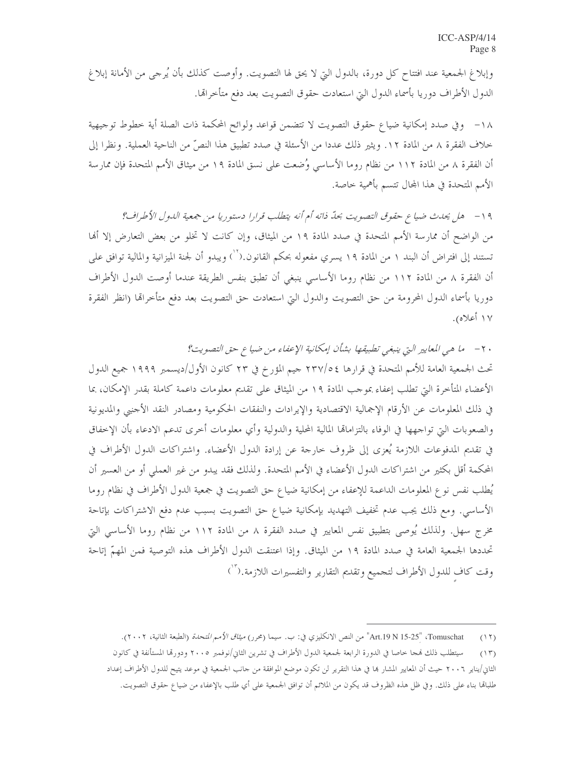وإبلاغ الجمعية عند افتتاح كل دورة، بالدول التي لا يحق لها التصويت. وأوصت كذلك بأن يُرجى من الأمانة إبلاغ الدول الأطراف دوريا بأسماء الدول التي استعادت حقوق التصويت بعد دفع متأخراقما.

١٨− وفي صدد إمكانية ضياع حقوق التصويت لا تتضمن قواعد ولوائح المحكمة ذات الصلة أية خطوط توجيهية خلاف الفقرة ٨ من المادة ١٢. ويثير ذلك عددا من الأسئلة في صدد تطبيق هذا النصِّ من الناحية العملية. ونظرا إلى أن الفقرة ٨ من المادة ١١٢ من نظام روما الأساسي وُضعت على نسق المادة ١٩ من ميثاق الأمم المتحدة فإن ممارسة الأمم المتحدة في هذا المحال تتسم بأهمية حاصة.

١٩ - هل يحدث ضياع حقوق التصويت بحدّ ذاته أم أنه يتطلب قرارا دستوريا من جمعية اللهول الأطراف؟ من الواضح أن ممارسة الأمم المتحدة في صدد المادة ١٩ من الميثاق، وإن كانت لا تخلو من بعض التعارض إلا أنها تستند إلى افتراض أن البند ١ من المادة ١٩ يسري مفعوله بحكم القانون.(``) ويبدو أن لجنة الميزانية والمالية توافق على أن الفقرة ٨ من المادة ١١٢ من نظام روما الأساسي ينبغي أن تطبق بنفس الطريقة عندما أوصت الدول الأطراف دوريا بأسماء الدول المحرومة من حق التصويت والدول التي استعادت حق التصويت بعد دفع متأخرالها (انظر الفقرة ١٧ أعلاه).

٢٠ - ما هي المعايير التي ينبغي تطبيقها بشأن إمكانية الإعفاء من ضياع حق التصويت؟

تحت الجمعية العامة للأمم المتحدة في قرارها ٢٣٧/٥٤ جيم المؤرخ في ٢٣ كانون الأول/ديسمبر ١٩٩٩ جميع الدول الأعضاء المتأخرة التي تطلب إعفاء بموجب المادة ١٩ من الميثاق على تقديم معلومات داعمة كاملة بقدر الإمكان، بما في ذلك المعلومات عن الأرقام الإجمالية الاقتصادية والإيرادات والنفقات الحكومية ومصادر النقد الأجنبي والمديونية والصعوبات التي تواجهها في الوفاء بالتزامالها المالية المحلية والدولية وأي معلومات أحرى تدعم الادعاء بأن الإخفاق في تقديم المدفوعات اللازمة يُعزى إلى ظروف خارجة عن إرادة الدول الأعضاء. واشتراكات الدول الأطراف في المحكمة أقل بكثير من اشتراكات الدول الأعضاء في الأمم المتحدة. ولذلك فقد يبدو من غير العملي أو من العسير أن يُطلب نفس نوع المعلومات الداعمة للإعفاء من إمكانية ضياع حق التصويت في جمعية الدول الأطراف في نظام روما الأساسي. ومع ذلك يجب عدم تخفيف التهديد بإمكانية ضياع حق التصويت بسبب عدم دفع الاشتراكات بإتاحة مخرج سهل. ولذلك يُوصى بتطبيق نفس المعايير في صدد الفقرة ٨ من المادة ١١٢ من نظام روما الأساسي التي تحددها الجمعية العامة في صدد المادة ١٩ من الميثاق. وإذا اعتنقت الدول الأطراف هذه التوصية فمن المهمّ إتاحة وقت كاف للدول الأطراف لتجميع وتقديم التقارير والتفسيرات اللازمة.(```)

Tomuschat، "Art.19 N 15-25" من النص الانكليزي في: ب. سيما (محرر) *ميثاق الأمم المتحلة* (الطبعة الثانية، ٢٠٠٢).  $(11)$ 

سيتطلب ذلك فمجا حاصا في الدورة الرابعة لجمعية الدول الأطراف في تشرين الثاني/نوفمبر ٢٠٠٥ ودورقما المستأنفة في كانون  $(15)$ الثاني/يناير ٢٠٠٦ حيث أن المعايير المشار بما في هذا التقرير لن تكون موضع الموافقة من حانب الجمعية في موعد يتيح للدول الأطراف إعداد طلباقما بناء على ذلك. وفي ظل هذه الظروف قد يكون من الملائم أن توافق الجمعية على أي طلب بالإعفاء من ضياع حقوق التصويت.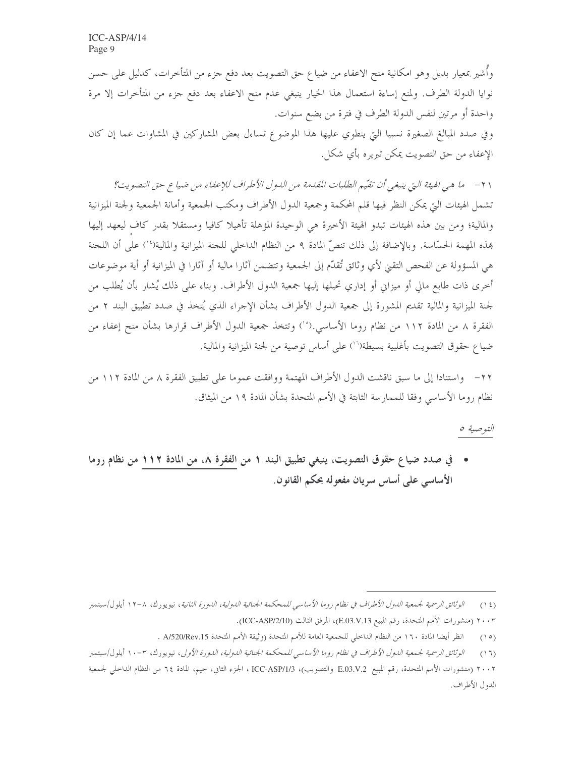وأشير بمعيار بديل وهو امكانية منح الاعفاء من ضياع حق التصويت بعد دفع جزء من المتأخرات، كدليل على حسن نوايا الدولة الطرف. ولمنع إساءة استعمال هذا الخيار ينبغي عدم منح الاعفاء بعد دفع جزء من المتأخرات إلا مرة واحدة أو مرتين لنفس الدولة الطرف في فترة من بضع سنوات.

وفي صدد المبالغ الصغيرة نسبيا التي ينطوي عليها هذا الموضوع تساءل بعض المشاركين في المشاوات عما إن كان الإعفاء من حق التصويت يمكن تبريره بأي شكل.

٢١ – ما هي الهيئة التي ينبغي أن تقيّم الطلبات المقدمة من الدول الأطراف للإعفاء من ضياع حق التصويت؟ تشمل الهيئات التي يمكن النظر فيها قلم المحكمة وجمعية الدول الأطراف ومكتب الجمعية وأمانة الجمعية ولجنة الميزانية والمالية؛ ومن بين هذه الهيئات تبدو الهيئة الأخيرة هي الوحيدة المؤهلة تأهيلا كافيا ومستقلا بقدر كاف ليعهد إليها هذه المهمة الحسّاسة. وبالإضافة إلى ذلك تنصّ المادة ٩ من النظام الداخلي للحنة الميزانية والمالية(١٠) على أن اللحنة هي المسؤولة عن الفحص التقيي لأي وثائق تُقدّم إلى الجمعية وتتضمن آثارا مالية أو آثارا في الميزانية أو أية موضوعات أُخرى ذات طابع مالي أو ميزاني أو إداري تحيلها إليها جمعية الدول الأطراف. وبناء على ذلك يُشار بأن يُطلب من لجنة الميزانية والمالية تقديم المشورة إلى جمعية الدول الأطراف بشأن الإحراء الذي يُتخذ في صدد تطبيق البند ٢ من الفقرة ٨ من المادة ١١٢ من نظام روما الأساسي.(°`) وتتخذ جمعية الدول الأطراف قرارها بشأن منح إعفاء من ضياع حقوق التصويت بأغلبية بسيطة(``) على أساس توصية من لجنة الميزانية والمالية.

٢٢– واستنادا إلى ما سبق ناقشت الدول الأطراف المهتمة ووافقت عموما على تطبيق الفقرة ٨ من المادة ١١٢ من نظام روما الأساسي وفقا للممارسة الثابتة في الأمم المتحدة بشأن المادة ١٩ من الميثاق.

التوصية ٥

• في صدد ضياع حقوق التصويت، ينبغي تطبيق البند ١ من الفقرة ٨، من المادة ١١٢ من نظام روما الأساسي على أساس سريان مفعوله بحكم القانون.

الوثائق الرسمية لجمعية الدول الأطراف في نظام روما الأساسي للمحكمة الجنائية الدولية، الدورة الثانية، نيويورك، ٨-١٢ أيلول/سبتمبر  $(15)$ ٢٠٠٣ (منشورات الأمم المتحدة، رقم المبيع E.03.V.13)، المرفق الثالث (ICC-ASP/2/10).

انظر أيضا المادة ١٦٠ من النظام الداحلي للجمعية العامة للأمم المتحدة (وثيقة الأمم المتحدة A/520/Rev.15 .  $(10)$ 

الوثائق الرسمية لجمعية اللول الأطراف في نظام روما الأساسي للمحكمة الجنائية اللولية، اللورة الأولى، نيويورك، ٣-١٠ أيلول/سبتمبر  $(17)$ 

٢٠٠٢ (منشورات الأمم المتحدة، رقم المبيع .B.03.V.2 والتصويب)، ICC-ASP/1/3 الجزء الثاني، جيم، المادة ٦٤ من النظام الداخلي لجمعية الدول الأطراف.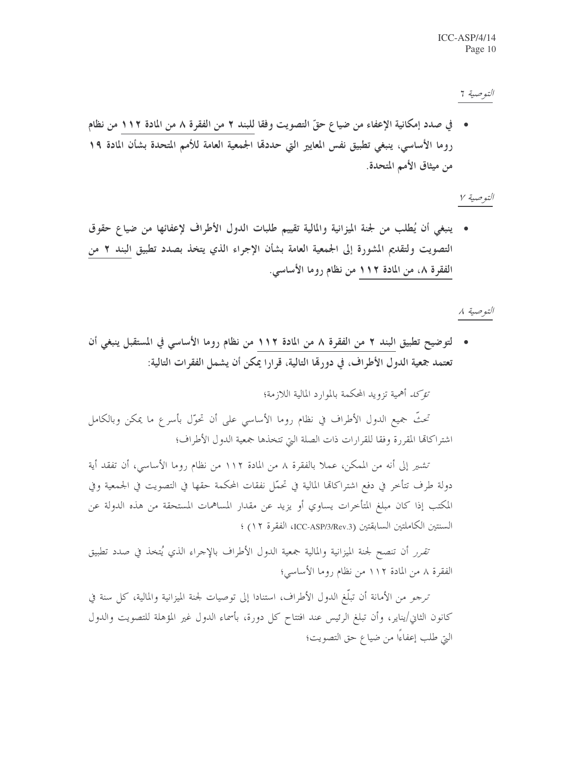التوصية 7

• في صدد إمكانية الإعفاء من ضياع حقّ التصويت وفقا للبند ٢ من الفقرة ٨ من المادة ١١٢ من نظام روما الأساسي، ينبغي تطبيق نفس المعايير التي حددها الجمعية العامة للأمم المتحدة بشأن المادة ١٩ من ميثاق الأمم المتحدة.

التوصية ٧

• ينبغي أن يُطلب من لجنة الميزانية والمالية تقييم طلبات الدول الأطراف لإعفائها من ضياع حقوق التصويت ولتقديم المشورة إلى الجمعية العامة بشأن الإجراء الذي يتخذ بصدد تطبيق البند ٢ من الفقرة ٨، من المادة ١١٢ من نظام روما الأساسي.

التوصية ٨

• لتوضيح تطبيق البند ٢ من الفقرة ٨ من المادة ١١٢ من نظام روما الأساسي في المستقبل ينبغي أن تعتمد جمعية الدول الأطراف، في دورهّا التالية، قرارًا يمكن أن يشمل الفقرات التالية:

تَّ*وَّكَ أَهْمِ*ية تزويد المُحكمة بالموارد المالية اللازمة؛

تحتُّ جميع الدول الأطراف في نظام روما الأساسي على أن تحوّل بأسرع ما يمكن وبالكامل اشتراكاتما المقررة وفقا للقرارات ذات الصلة التي تتخذها جمعية الدول الأطراف؛

تشير إلى أنه من الممكن، عملاً بالفقرة ٨ من المادة ١١٢ من نظام روما الأساسي، أن تفقد أية دولة طرف تتأخر في دفع اشتراكاتما المالية في تحمَّل نفقات المحكمة حقها في التصويت في الجمعية وفي المكتب إذا كان مبلغ المتأخرات يساوي أو يزيد عن مقدار المساهمات المستحقة من هذه الدولة عن السنتين الكاملتين السابقتين (ICC-ASP/3/Rev.3)، الفقرة ١٢) ؛

تَّ*فرر* أن تنصح لجنة الميزانية والمالية جمعية الدول الأطراف بالإجراء الذي يُتخذ في صدد تطبيق الفقرة ٨ من المادة ١١٢ من نظام روما الأساسي؛

ترجمو من الأمانة أن تبلُّغ الدول الأطراف، استنادا إلى توصيات لجنة الميزانية والمالية، كل سنة في كانون الثاني/يناير، وأن تبلغ الرئيس عند افتتاح كل دورة، بأسماء الدول غير المؤهلة للتصويت والدول التي طلب إعفاءًا من ضياع حق التصويت؛